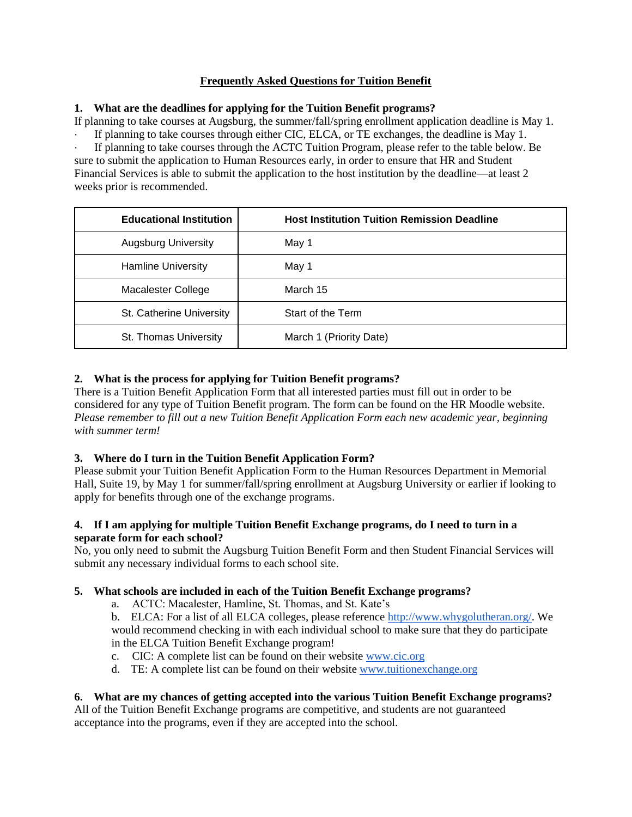## **Frequently Asked Questions for Tuition Benefit**

## **1. What are the deadlines for applying for the Tuition Benefit programs?**

If planning to take courses at Augsburg, the summer/fall/spring enrollment application deadline is May 1.

If planning to take courses through either CIC, ELCA, or TE exchanges, the deadline is May 1. If planning to take courses through the ACTC Tuition Program, please refer to the table below. Be sure to submit the application to Human Resources early, in order to ensure that HR and Student Financial Services is able to submit the application to the host institution by the deadline—at least 2 weeks prior is recommended.

| <b>Educational Institution</b> | <b>Host Institution Tuition Remission Deadline</b> |
|--------------------------------|----------------------------------------------------|
| <b>Augsburg University</b>     | May 1                                              |
| <b>Hamline University</b>      | May 1                                              |
| Macalester College             | March 15                                           |
| St. Catherine University       | Start of the Term                                  |
| St. Thomas University          | March 1 (Priority Date)                            |

# **2. What is the process for applying for Tuition Benefit programs?**

There is a Tuition Benefit Application Form that all interested parties must fill out in order to be considered for any type of Tuition Benefit program. The form can be found on the HR Moodle website. *Please remember to fill out a new Tuition Benefit Application Form each new academic year, beginning with summer term!*

## **3. Where do I turn in the Tuition Benefit Application Form?**

Please submit your Tuition Benefit Application Form to the Human Resources Department in Memorial Hall, Suite 19, by May 1 for summer/fall/spring enrollment at Augsburg University or earlier if looking to apply for benefits through one of the exchange programs.

## **4. If I am applying for multiple Tuition Benefit Exchange programs, do I need to turn in a separate form for each school?**

No, you only need to submit the Augsburg Tuition Benefit Form and then Student Financial Services will submit any necessary individual forms to each school site.

## **5. What schools are included in each of the Tuition Benefit Exchange programs?**

a. ACTC: Macalester, Hamline, St. Thomas, and St. Kate's

b. ELCA: For a list of all ELCA colleges, please reference [http://www.whygolutheran.org/.](http://www.whygolutheran.org/) We would recommend checking in with each individual school to make sure that they do participate in the ELCA Tuition Benefit Exchange program!

- c. CIC: A complete list can be found on their website [www.cic.org](http://www.cic.org/)
- d. TE: A complete list can be found on their website [www.tuitionexchange.org](http://www.tuitionexchange.org/)

## **6. What are my chances of getting accepted into the various Tuition Benefit Exchange programs?**

All of the Tuition Benefit Exchange programs are competitive, and students are not guaranteed acceptance into the programs, even if they are accepted into the school.